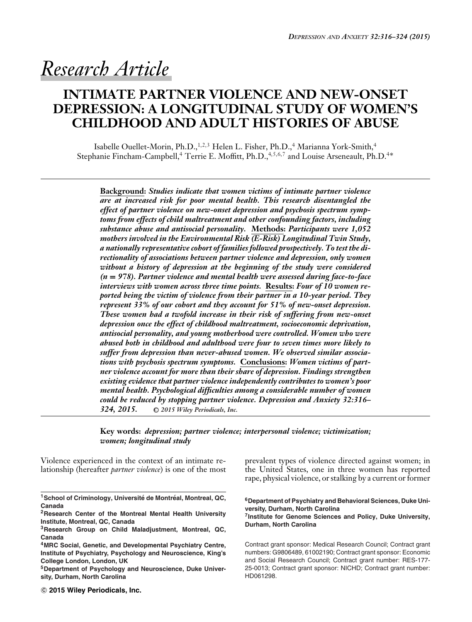# *Research Article*

# **INTIMATE PARTNER VIOLENCE AND NEW-ONSET DEPRESSION: A LONGITUDINAL STUDY OF WOMEN'S CHILDHOOD AND ADULT HISTORIES OF ABUSE**

Isabelle Ouellet-Morin, Ph.D.,<sup>1,2,3</sup> Helen L. Fisher, Ph.D.,<sup>4</sup> Marianna York-Smith,<sup>4</sup> Stephanie Fincham-Campbell,<sup>4</sup> Terrie E. Moffitt, Ph.D.,<sup>4,5,6,7</sup> and Louise Arseneault, Ph.D.<sup>4∗</sup>

**Background:** *Studies indicate that women victims of intimate partner violence are at increased risk for poor mental health. This research disentangled the effect of partner violence on new-onset depression and psychosis spectrum symptoms from effects of child maltreatment and other confounding factors, including substance abuse and antisocial personality.* **Methods:** *Participants were 1,052 mothers involved in the Environmental Risk (E-Risk) Longitudinal Twin Study, a nationally representative cohort of families followed prospectively. To test the directionality of associations between partner violence and depression, only women without a history of depression at the beginning of the study were considered (n* **=** *978). Partner violence and mental health were assessed during face-to-face interviews with women across three time points.* **Results:** *Four of 10 women reported being the victim of violence from their partner in a 10-year period. They represent 33% of our cohort and they account for 51% of new-onset depression. These women had a twofold increase in their risk of suffering from new-onset depression once the effect of childhood maltreatment, socioeconomic deprivation, antisocial personality, and young motherhood were controlled. Women who were abused both in childhood and adulthood were four to seven times more likely to suffer from depression than never-abused women. We observed similar associations with psychosis spectrum symptoms.* **Conclusions:** *Women victims of partner violence account for more than their share of depression. Findings strengthen existing evidence that partner violence independently contributes to women's poor mental health. Psychological difficulties among a considerable number of women could be reduced by stopping partner violence. Depression and Anxiety 32:316– 324, 2015.* **-<sup>C</sup>** *2015 Wiley Periodicals, Inc.*

**Key words:** *depression; partner violence; interpersonal violence; victimization; women; longitudinal study*

Violence experienced in the context of an intimate relationship (hereafter *partner violence*) is one of the most

prevalent types of violence directed against women; in the United States, one in three women has reported rape, physical violence, or stalking by a current or former

**6Department of Psychiatry and Behavioral Sciences, Duke University, Durham, North Carolina**

**7Institute for Genome Sciences and Policy, Duke University, Durham, North Carolina**

Contract grant sponsor: Medical Research Council; Contract grant numbers: G9806489, 61002190; Contract grant sponsor: Economic and Social Research Council; Contract grant number: RES-177- 25-0013; Contract grant sponsor: NICHD; Contract grant number: HD061298.

<sup>&</sup>lt;sup>1</sup> School of Criminology, Université de Montréal, Montreal, QC, **Canada**

**<sup>2</sup>Research Center of the Montreal Mental Health University Institute, Montreal, QC, Canada**

**<sup>3</sup>Research Group on Child Maladjustment, Montreal, QC, Canada**

**<sup>4</sup>MRC Social, Genetic, and Developmental Psychiatry Centre, Institute of Psychiatry, Psychology and Neuroscience, King's College London, London, UK**

**<sup>5</sup>Department of Psychology and Neuroscience, Duke University, Durham, North Carolina**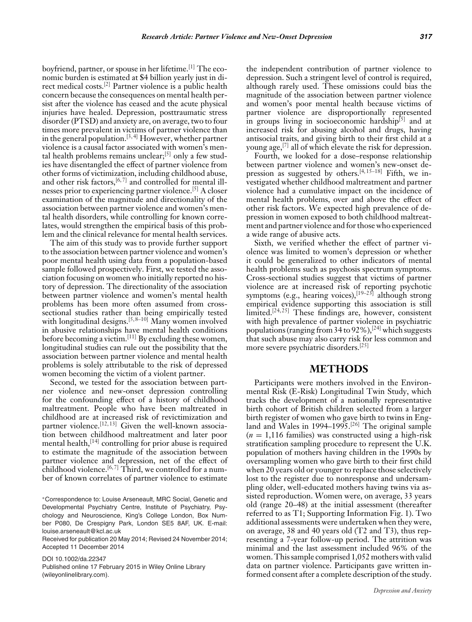boyfriend, partner, or spouse in her lifetime.[1] The economic burden is estimated at \$4 billion yearly just in direct medical costs.[2] Partner violence is a public health concern because the consequences on mental health persist after the violence has ceased and the acute physical injuries have healed. Depression, posttraumatic stress disorder (PTSD) and anxiety are, on average, two to four times more prevalent in victims of partner violence than in the general population.[3, 4] However, whether partner violence is a causal factor associated with women's mental health problems remains unclear;  $[5]$  only a few studies have disentangled the effect of partner violence from other forms of victimization, including childhood abuse, and other risk factors,  $[6, 7]$  and controlled for mental illnesses prior to experiencing partner violence.[5] A closer examination of the magnitude and directionality of the association between partner violence and women's mental health disorders, while controlling for known correlates, would strengthen the empirical basis of this problem and the clinical relevance for mental health services.

The aim of this study was to provide further support to the association between partner violence and women's poor mental health using data from a population-based sample followed prospectively. First, we tested the association focusing on women who initially reported no history of depression. The directionality of the association between partner violence and women's mental health problems has been more often assumed from crosssectional studies rather than being empirically tested with longitudinal designs.<sup>[5,8–10]</sup> Many women involved in abusive relationships have mental health conditions before becoming a victim.<sup>[11]</sup> By excluding these women, longitudinal studies can rule out the possibility that the association between partner violence and mental health problems is solely attributable to the risk of depressed women becoming the victim of a violent partner.

Second, we tested for the association between partner violence and new-onset depression controlling for the confounding effect of a history of childhood maltreatment. People who have been maltreated in childhood are at increased risk of revictimization and partner violence.<sup>[12, 13]</sup> Given the well-known association between childhood maltreatment and later poor mental health, $[14]$  controlling for prior abuse is required to estimate the magnitude of the association between partner violence and depression, net of the effect of childhood violence.<sup>[6,7]</sup> Third, we controlled for a number of known correlates of partner violence to estimate

Received for publication 20 May 2014; Revised 24 November 2014; Accepted 11 December 2014

DOI 10.1002/da.22347 Published online 17 February 2015 in Wiley Online Library (wileyonlinelibrary.com).

the independent contribution of partner violence to depression. Such a stringent level of control is required, although rarely used. These omissions could bias the magnitude of the association between partner violence and women's poor mental health because victims of partner violence are disproportionally represented in groups living in socioeconomic hardship $[5]$  and at increased risk for abusing alcohol and drugs, having antisocial traits, and giving birth to their first child at a young age,[7] all of which elevate the risk for depression.

Fourth, we looked for a dose–response relationship between partner violence and women's new-onset depression as suggested by others.<sup>[4,15–18]</sup> Fifth, we investigated whether childhood maltreatment and partner violence had a cumulative impact on the incidence of mental health problems, over and above the effect of other risk factors. We expected high prevalence of depression in women exposed to both childhood maltreatment and partner violence and for those who experienced a wide range of abusive acts.

Sixth, we verified whether the effect of partner violence was limited to women's depression or whether it could be generalized to other indicators of mental health problems such as psychosis spectrum symptoms. Cross-sectional studies suggest that victims of partner violence are at increased risk of reporting psychotic symptoms (e.g., hearing voices),<sup>[19–23]</sup> although strong empirical evidence supporting this association is still limited.<sup>[24, 25]</sup> These findings are, however, consistent with high prevalence of partner violence in psychiatric populations (ranging from 34 to  $92\%$ ),<sup>[24]</sup> which suggests that such abuse may also carry risk for less common and more severe psychiatric disorders.[25]

## **METHODS**

Participants were mothers involved in the Environmental Risk (E-Risk) Longitudinal Twin Study, which tracks the development of a nationally representative birth cohort of British children selected from a larger birth register of women who gave birth to twins in England and Wales in 1994–1995.<sup>[26]</sup> The original sample  $(n = 1,116$  families) was constructed using a high-risk stratification sampling procedure to represent the U.K. population of mothers having children in the 1990s by oversampling women who gave birth to their first child when 20 years old or younger to replace those selectively lost to the register due to nonresponse and undersampling older, well-educated mothers having twins via assisted reproduction. Women were, on average, 33 years old (range 20–48) at the initial assessment (thereafter referred to as T1; Supporting Information Fig. 1). Two additional assessments were undertaken when they were, on average, 38 and 40 years old (T2 and T3), thus representing a 7-year follow-up period. The attrition was minimal and the last assessment included 96% of the women. This sample comprised 1,052 mothers with valid data on partner violence. Participants gave written informed consent after a complete description of the study.

<sup>∗</sup>Correspondence to: Louise Arseneault, MRC Social, Genetic and Developmental Psychiatry Centre, Institute of Psychiatry, Psychology and Neuroscience, King's College London, Box Number P080, De Crespigny Park, London SE5 8AF, UK. E-mail: louise.arseneault@kcl.ac.uk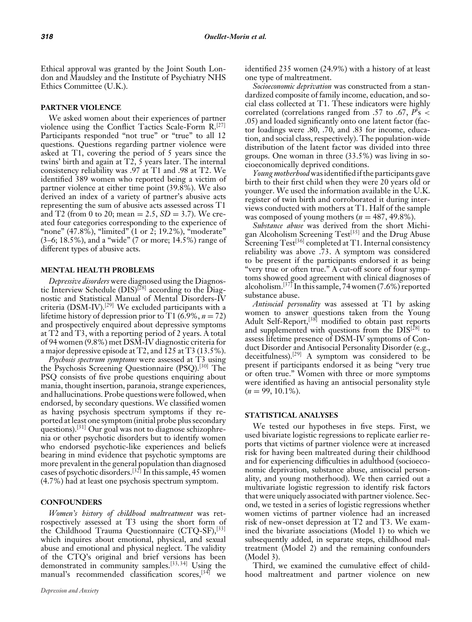Ethical approval was granted by the Joint South London and Maudsley and the Institute of Psychiatry NHS Ethics Committee (U.K.).

#### **PARTNER VIOLENCE**

We asked women about their experiences of partner violence using the Conflict Tactics Scale-Form R.[27] Participants responded "not true" or "true" to all 12 questions. Questions regarding partner violence were asked at T1, covering the period of 5 years since the twins' birth and again at T2, 5 years later. The internal consistency reliability was .97 at T1 and .98 at T2. We identified 389 women who reported being a victim of partner violence at either time point (39.8%). We also derived an index of a variety of partner's abusive acts representing the sum of abusive acts assessed across T1 and T2 (from 0 to 20; mean = 2.5, *SD* = 3.7). We created four categories corresponding to the experience of "none" (47.8%), "limited" (1 or 2, 19.2%), "moderate" (3–6; 18.5%), and a "wide" (7 or more; 14.5%) range of different types of abusive acts.

#### **MENTAL HEALTH PROBLEMS**

*Depressive disorders* were diagnosed using the Diagnostic Interview Schedule  $(DIS)^{[28]}$  according to the Diagnostic and Statistical Manual of Mental Disorders-IV criteria (DSM-IV).[29] We excluded participants with a lifetime history of depression prior to T1  $(6.9\%, n = 72)$ and prospectively enquired about depressive symptoms at T2 and T3, with a reporting period of 2 years. A total of 94 women (9.8%) met DSM-IV diagnostic criteria for a major depressive episode at T2, and 125 at T3 (13.5%).

*Psychosis spectrum symptoms* were assessed at T3 using the Psychosis Screening Questionnaire (PSQ).<sup>[30]</sup> The PSQ consists of five probe questions enquiring about mania, thought insertion, paranoia, strange experiences, and hallucinations. Probe questions were followed, when endorsed, by secondary questions. We classified women as having psychosis spectrum symptoms if they reported at least one symptom (initial probe plus secondary questions).<sup>[31]</sup> Our goal was not to diagnose schizophrenia or other psychotic disorders but to identify women who endorsed psychotic-like experiences and beliefs bearing in mind evidence that psychotic symptoms are more prevalent in the general population than diagnosed cases of psychotic disorders.[32] In this sample, 45 women (4.7%) had at least one psychosis spectrum symptom.

#### **CONFOUNDERS**

*Women's history of childhood maltreatment* was retrospectively assessed at T3 using the short form of the Childhood Trauma Questionnaire (CTQ-SF),<sup>[33]</sup> which inquires about emotional, physical, and sexual abuse and emotional and physical neglect. The validity of the CTQ's original and brief versions has been demonstrated in community samples.[33, 34] Using the manual's recommended classification scores,<sup>[34]</sup> we identified 235 women (24.9%) with a history of at least one type of maltreatment.

*Socioeconomic deprivation* was constructed from a standardized composite of family income, education, and social class collected at T1. These indicators were highly correlated (correlations ranged from .57 to .67, *P*'s < .05) and loaded significantly onto one latent factor (factor loadings were .80, .70, and .83 for income, education, and social class, respectively). The population-wide distribution of the latent factor was divided into three groups. One woman in three (33.5%) was living in socioeconomically deprived conditions.

*Young motherhood* was identified if the participants gave birth to their first child when they were 20 years old or younger. We used the information available in the U.K. register of twin birth and corroborated it during interviews conducted with mothers at T1. Half of the sample was composed of young mothers  $(n = 487, 49.8\%)$ .

*Substance abuse* was derived from the short Michigan Alcoholism Screening Test<sup>[35]</sup> and the Drug Abuse Screening  $Test^{[36]}$  completed at T1. Internal consistency reliability was above .73. A symptom was considered to be present if the participants endorsed it as being "very true or often true." A cut-off score of four symptoms showed good agreement with clinical diagnoses of alcoholism.[37] In this sample, 74 women (7.6%) reported substance abuse.

*Antisocial personality* was assessed at T1 by asking women to answer questions taken from the Young Adult Self-Report,<sup>[38]</sup> modified to obtain past reports and supplemented with questions from the DIS[28] to assess lifetime presence of DSM-IV symptoms of Conduct Disorder and Antisocial Personality Disorder (e.g., deceitfulness).<sup>[29]</sup> A symptom was considered to be present if participants endorsed it as being "very true or often true." Women with three or more symptoms were identified as having an antisocial personality style  $(n = 99, 10.1\%)$ .

#### **STATISTICAL ANALYSES**

We tested our hypotheses in five steps. First, we used bivariate logistic regressions to replicate earlier reports that victims of partner violence were at increased risk for having been maltreated during their childhood and for experiencing difficulties in adulthood (socioeconomic deprivation, substance abuse, antisocial personality, and young motherhood). We then carried out a multivariate logistic regression to identify risk factors that were uniquely associated with partner violence. Second, we tested in a series of logistic regressions whether women victims of partner violence had an increased risk of new-onset depression at T2 and T3. We examined the bivariate associations (Model 1) to which we subsequently added, in separate steps, childhood maltreatment (Model 2) and the remaining confounders (Model 3).

Third, we examined the cumulative effect of childhood maltreatment and partner violence on new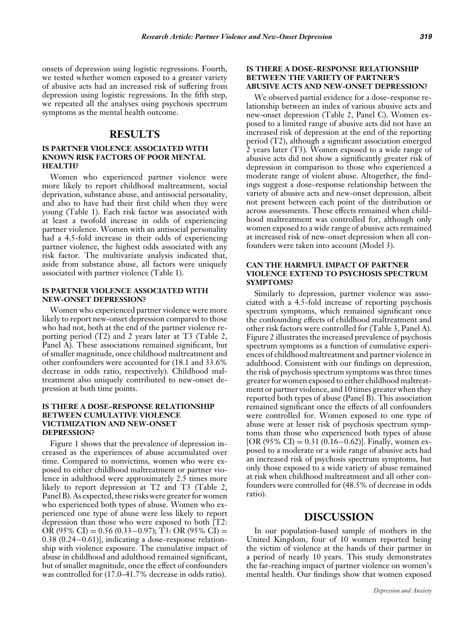onsets of depression using logistic regressions. Fourth, we tested whether women exposed to a greater variety of abusive acts had an increased risk of suffering from depression using logistic regressions. In the fifth step, we repeated all the analyses using psychosis spectrum symptoms as the mental health outcome.

### **RESULTS**

#### **IS PARTNER VIOLENCE ASSOCIATED WITH KNOWN RISK FACTORS OF POOR MENTAL HEALTH?**

Women who experienced partner violence were more likely to report childhood maltreatment, social deprivation, substance abuse, and antisocial personality, and also to have had their first child when they were young (Table 1). Each risk factor was associated with at least a twofold increase in odds of experiencing partner violence. Women with an antisocial personality had a 4.5-fold increase in their odds of experiencing partner violence, the highest odds associated with any risk factor. The multivariate analysis indicated that, aside from substance abuse, all factors were uniquely associated with partner violence (Table 1).

#### **IS PARTNER VIOLENCE ASSOCIATED WITH NEW-ONSET DEPRESSION?**

Women who experienced partner violence were more likely to report new-onset depression compared to those who had not, both at the end of the partner violence reporting period (T2) and 2 years later at T3 (Table 2, Panel A). These associations remained significant, but of smaller magnitude, once childhood maltreatment and other confounders were accounted for (18.1 and 33.6% decrease in odds ratio, respectively). Childhood maltreatment also uniquely contributed to new-onset depression at both time points.

#### **IS THERE A DOSE–RESPONSE RELATIONSHIP BETWEEN CUMULATIVE VIOLENCE VICTIMIZATION AND NEW-ONSET DEPRESSION?**

Figure 1 shows that the prevalence of depression increased as the experiences of abuse accumulated over time. Compared to nonvictims, women who were exposed to either childhood maltreatment or partner violence in adulthood were approximately 2.5 times more likely to report depression at T2 and T3 (Table 2, Panel B). As expected, these risks were greater for women who experienced both types of abuse. Women who experienced one type of abuse were less likely to report depression than those who were exposed to both [T2: OR (95% CI) =  $0.56$  (0.33–0.97); T3: OR (95% CI) = 0.38 (0.24−0.61)], indicating a dose–response relationship with violence exposure. The cumulative impact of abuse in childhood and adulthood remained significant, but of smaller magnitude, once the effect of confounders was controlled for (17.0–41.7% decrease in odds ratio).

#### **IS THERE A DOSE–RESPONSE RELATIONSHIP BETWEEN THE VARIETY OF PARTNER'S ABUSIVE ACTS AND NEW-ONSET DEPRESSION?**

We observed partial evidence for a dose–response relationship between an index of various abusive acts and new-onset depression (Table 2, Panel C). Women exposed to a limited range of abusive acts did not have an increased risk of depression at the end of the reporting period (T2), although a significant association emerged 2 years later (T3). Women exposed to a wide range of abusive acts did not show a significantly greater risk of depression in comparison to those who experienced a moderate range of violent abuse. Altogether, the findings suggest a dose–response relationship between the variety of abusive acts and new-onset depression, albeit not present between each point of the distribution or across assessments. These effects remained when childhood maltreatment was controlled for, although only women exposed to a wide range of abusive acts remained at increased risk of new-onset depression when all confounders were taken into account (Model 3).

#### **CAN THE HARMFUL IMPACT OF PARTNER VIOLENCE EXTEND TO PSYCHOSIS SPECTRUM SYMPTOMS?**

Similarly to depression, partner violence was associated with a 4.5-fold increase of reporting psychosis spectrum symptoms, which remained significant once the confounding effects of childhood maltreatment and other risk factors were controlled for (Table 3, Panel A). Figure 2 illustrates the increased prevalence of psychosis spectrum symptoms as a function of cumulative experiences of childhood maltreatment and partner violence in adulthood. Consistent with our findings on depression, the risk of psychosis spectrum symptoms was three times greater for women exposed to either childhood maltreatment or partner violence, and 10 times greater when they reported both types of abuse (Panel B). This association remained significant once the effects of all confounders were controlled for. Women exposed to one type of abuse were at lesser risk of psychosis spectrum symptoms than those who experienced both types of abuse [OR (95% CI) = 0.31 (0.16–0.62)]. Finally, women exposed to a moderate or a wide range of abusive acts had an increased risk of psychosis spectrum symptoms, but only those exposed to a wide variety of abuse remained at risk when childhood maltreatment and all other confounders were controlled for (48.5% of decrease in odds ratio).

#### **DISCUSSION**

In our population-based sample of mothers in the United Kingdom, four of 10 women reported being the victim of violence at the hands of their partner in a period of nearly 10 years. This study demonstrates the far-reaching impact of partner violence on women's mental health. Our findings show that women exposed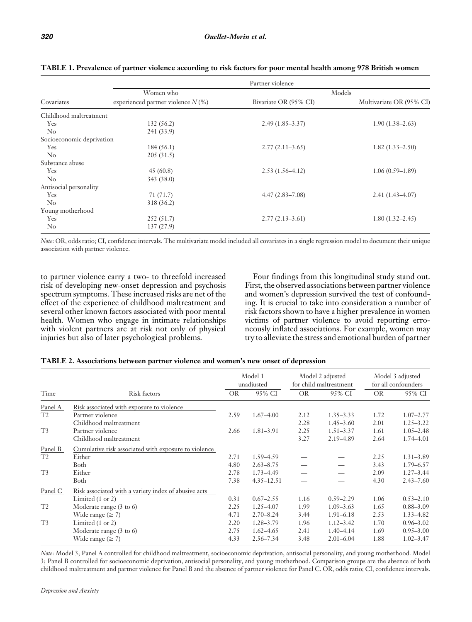|                           |                                      | Partner violence      |                          |
|---------------------------|--------------------------------------|-----------------------|--------------------------|
|                           | Women who                            |                       | Models                   |
| Covariates                | experienced partner violence $N(\%)$ | Bivariate OR (95% CI) | Multivariate OR (95% CI) |
| Childhood maltreatment    |                                      |                       |                          |
| Yes                       | 132 (56.2)                           | $2.49(1.85-3.37)$     | $1.90(1.38 - 2.63)$      |
| $\rm No$                  | 241 (33.9)                           |                       |                          |
| Socioeconomic deprivation |                                      |                       |                          |
| Yes                       | 184(56.1)                            | $2.77(2.11-3.65)$     | $1.82(1.33 - 2.50)$      |
| $\rm No$                  | 205(31.5)                            |                       |                          |
| Substance abuse           |                                      |                       |                          |
| Yes                       | 45(60.8)                             | $2.53(1.56-4.12)$     | $1.06(0.59-1.89)$        |
| $\rm No$                  | 343 (38.0)                           |                       |                          |
| Antisocial personality    |                                      |                       |                          |
| Yes                       | 71 (71.7)                            | $4.47(2.83 - 7.08)$   | $2.41(1.43 - 4.07)$      |
| $\rm No$                  | 318 (36.2)                           |                       |                          |
| Young motherhood          |                                      |                       |                          |
| Yes                       | 252 (51.7)                           | $2.77(2.13-3.61)$     | $1.80(1.32 - 2.45)$      |
| $\rm No$                  | 137 (27.9)                           |                       |                          |

**TABLE 1. Prevalence of partner violence according to risk factors for poor mental health among 978 British women**

*Note*: OR, odds ratio; CI, confidence intervals. The multivariate model included all covariates in a single regression model to document their unique association with partner violence.

to partner violence carry a two- to threefold increased risk of developing new-onset depression and psychosis spectrum symptoms. These increased risks are net of the effect of the experience of childhood maltreatment and several other known factors associated with poor mental health. Women who engage in intimate relationships with violent partners are at risk not only of physical injuries but also of later psychological problems.

Four findings from this longitudinal study stand out. First, the observed associations between partner violence and women's depression survived the test of confounding. It is crucial to take into consideration a number of risk factors shown to have a higher prevalence in women victims of partner violence to avoid reporting erroneously inflated associations. For example, women may try to alleviate the stress and emotional burden of partner

| TABLE 2. Associations between partner violence and women's new onset of depression |  |  |
|------------------------------------------------------------------------------------|--|--|
|------------------------------------------------------------------------------------|--|--|

|                | Risk factors                                         |           | Model 1<br>unadjusted |           | Model 2 adjusted<br>for child maltreatment |      | Model 3 adjusted<br>for all confounders |  |
|----------------|------------------------------------------------------|-----------|-----------------------|-----------|--------------------------------------------|------|-----------------------------------------|--|
| Time           |                                                      | <b>OR</b> | 95% CI                | <b>OR</b> | 95% CI                                     | OR.  | 95% CI                                  |  |
| Panel A        | Risk associated with exposure to violence            |           |                       |           |                                            |      |                                         |  |
| T <sub>2</sub> | Partner violence                                     | 2.59      | $1.67 - 4.00$         | 2.12      | $1.35 - 3.33$                              | 1.72 | $1.07 - 2.77$                           |  |
|                | Childhood maltreatment                               |           |                       | 2.28      | $1.45 - 3.60$                              | 2.01 | $1.25 - 3.22$                           |  |
| T <sub>3</sub> | Partner violence                                     | 2.66      | $1.81 - 3.91$         | 2.25      | $1.51 - 3.37$                              | 1.61 | $1.05 - 2.48$                           |  |
|                | Childhood maltreatment                               |           |                       | 3.27      | 2.19 - 4.89                                | 2.64 | 1.74-4.01                               |  |
| Panel B        | Cumulative risk associated with exposure to violence |           |                       |           |                                            |      |                                         |  |
| T <sub>2</sub> | Either                                               | 2.71      | 1.59-4.59             |           |                                            | 2.25 | $1.31 - 3.89$                           |  |
|                | Both                                                 | 4.80      | $2.63 - 8.75$         |           |                                            | 3.43 | $1.79 - 6.57$                           |  |
| T <sub>3</sub> | Either                                               | 2.78      | $1.73 - 4.49$         |           |                                            | 2.09 | $1.27 - 3.44$                           |  |
|                | Both                                                 | 7.38      | $4.35 - 12.51$        |           |                                            | 4.30 | $2.43 - 7.60$                           |  |
| Panel C        | Risk associated with a variety index of abusive acts |           |                       |           |                                            |      |                                         |  |
|                | Limited $(1 \text{ or } 2)$                          | 0.31      | $0.67 - 2.55$         | 1.16      | $0.59 - 2.29$                              | 1.06 | $0.53 - 2.10$                           |  |
| T <sub>2</sub> | Moderate range $(3 \text{ to } 6)$                   | 2.25      | $1.25 - 4.07$         | 1.99      | $1.09 - 3.63$                              | 1.65 | $0.88 - 3.09$                           |  |
|                | Wide range ( $\geq$ 7)                               | 4.71      | $2.70 - 8.24$         | 3.44      | $1.91 - 6.18$                              | 2.53 | $1.33 - 4.82$                           |  |
| T <sup>3</sup> | Limited $(1 \text{ or } 2)$                          | 2.20      | $1.28 - 3.79$         | 1.96      | $1.12 - 3.42$                              | 1.70 | $0.96 - 3.02$                           |  |
|                | Moderate range $(3 \text{ to } 6)$                   | 2.75      | $1.62 - 4.65$         | 2.41      | $1.40 - 4.14$                              | 1.69 | $0.95 - 3.00$                           |  |
|                | Wide range ( $\geq$ 7)                               | 4.33      | $2.56 - 7.34$         | 3.48      | $2.01 - 6.04$                              | 1.88 | $1.02 - 3.47$                           |  |

*Note*: Model 3; Panel A controlled for childhood maltreatment, socioeconomic deprivation, antisocial personality, and young motherhood. Model 3; Panel B controlled for socioeconomic deprivation, antisocial personality, and young motherhood. Comparison groups are the absence of both childhood maltreatment and partner violence for Panel B and the absence of partner violence for Panel C. OR, odds ratio; CI, confidence intervals.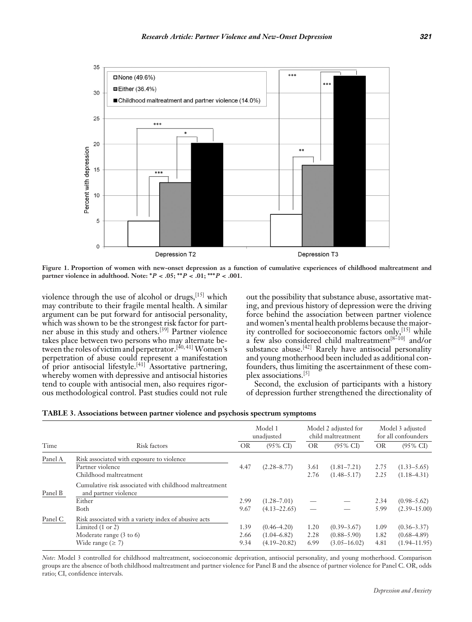

**Figure 1. Proportion of women with new-onset depression as a function of cumulative experiences of childhood maltreatment and partner violence in adulthood. Note: ∗***P <* **.05; ∗∗***P <* **.01; ∗∗∗***P <* **.001.**

violence through the use of alcohol or drugs,  $[15]$  which may contribute to their fragile mental health. A similar argument can be put forward for antisocial personality, which was shown to be the strongest risk factor for partner abuse in this study and others.[39] Partner violence takes place between two persons who may alternate between the roles of victim and perpetrator.[40, 41] Women's perpetration of abuse could represent a manifestation of prior antisocial lifestyle.[41] Assortative partnering, whereby women with depressive and antisocial histories tend to couple with antisocial men, also requires rigorous methodological control. Past studies could not rule

out the possibility that substance abuse, assortative mating, and previous history of depression were the driving force behind the association between partner violence and women's mental health problems because the majority controlled for socioeconomic factors only, <a>[15]</a> while a few also considered child maltreatment<sup>[8-10]</sup> and/or substance abuse.<sup>[42]</sup> Rarely have antisocial personality and young motherhood been included as additional confounders, thus limiting the ascertainment of these complex associations.[5]

Second, the exclusion of participants with a history of depression further strengthened the directionality of

|  |  | TABLE 3. Associations between partner violence and psychosis spectrum symptom |  |  |
|--|--|-------------------------------------------------------------------------------|--|--|
|  |  |                                                                               |  |  |

|         |                                                                                                                                                     |                      | Model 1<br>unadjusted                                  |                      | Model 2 adjusted for<br>child maltreatment             |                      | Model 3 adjusted<br>for all confounders                |  |
|---------|-----------------------------------------------------------------------------------------------------------------------------------------------------|----------------------|--------------------------------------------------------|----------------------|--------------------------------------------------------|----------------------|--------------------------------------------------------|--|
| Time    | Risk factors                                                                                                                                        | <b>OR</b>            | $(95\% \text{ CI})$                                    | <b>OR</b>            | $(95\% \text{ CI})$                                    | <b>OR</b>            | $(95\% \text{ CI})$                                    |  |
| Panel A | Risk associated with exposure to violence<br>Partner violence<br>Childhood maltreatment                                                             | 4.47                 | $(2.28 - 8.77)$                                        | 3.61<br>2.76         | $(1.81 - 7.21)$<br>$(1.48 - 5.17)$                     | 2.75<br>2.25         | $(1.33 - 5.65)$<br>$(1.18 - 4.31)$                     |  |
| Panel B | Cumulative risk associated with childhood maltreatment<br>and partner violence<br>Either<br>Both                                                    | 2.99<br>9.67         | $(1.28 - 7.01)$<br>$(4.13 - 22.65)$                    |                      |                                                        | 2.34<br>5.99         | $(0.98 - 5.62)$<br>$(2.39 - 15.00)$                    |  |
| Panel C | Risk associated with a variety index of abusive acts<br>Limited $(1 \text{ or } 2)$<br>Moderate range $(3 \text{ to } 6)$<br>Wide range ( $\geq$ 7) | 1.39<br>2.66<br>9.34 | $(0.46 - 4.20)$<br>$(1.04 - 6.82)$<br>$(4.19 - 20.82)$ | 1.20<br>2.28<br>6.99 | $(0.39 - 3.67)$<br>$(0.88 - 5.90)$<br>$(3.05 - 16.02)$ | 1.09<br>1.82<br>4.81 | $(0.36 - 3.37)$<br>$(0.68 - 4.89)$<br>$(1.94 - 11.95)$ |  |

*Note*: Model 3 controlled for childhood maltreatment, socioeconomic deprivation, antisocial personality, and young motherhood. Comparison groups are the absence of both childhood maltreatment and partner violence for Panel B and the absence of partner violence for Panel C. OR, odds ratio; CI, confidence intervals.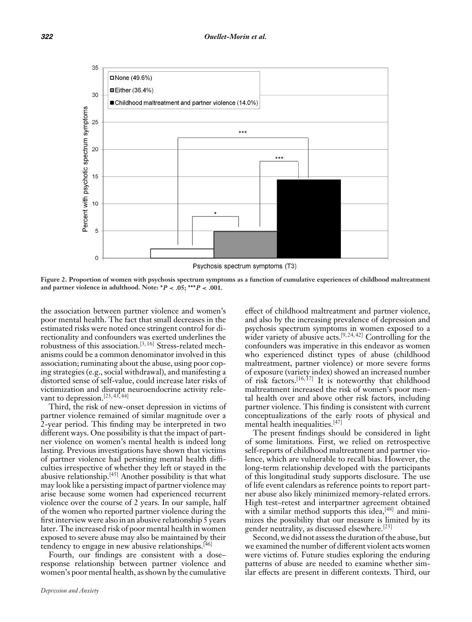

Psychosis spectrum symptoms (T3)

**Figure 2. Proportion of women with psychosis spectrum symptoms as a function of cumulative experiences of childhood maltreatment and partner violence in adulthood. Note: ∗***P <* **.05; ∗∗∗***P <* **.001.**

the association between partner violence and women's poor mental health. The fact that small decreases in the estimated risks were noted once stringent control for directionality and confounders was exerted underlines the robustness of this association.[3, 16] Stress-related mechanisms could be a common denominator involved in this association; ruminating about the abuse, using poor coping strategies (e.g., social withdrawal), and manifesting a distorted sense of self-value, could increase later risks of victimization and disrupt neuroendocrine activity relevant to depression.<sup>[23, 43, 44]</sup>

Third, the risk of new-onset depression in victims of partner violence remained of similar magnitude over a 2-year period. This finding may be interpreted in two different ways. One possibility is that the impact of partner violence on women's mental health is indeed long lasting. Previous investigations have shown that victims of partner violence had persisting mental health difficulties irrespective of whether they left or stayed in the abusive relationship.[45] Another possibility is that what may look like a persisting impact of partner violence may arise because some women had experienced recurrent violence over the course of 2 years. In our sample, half of the women who reported partner violence during the first interview were also in an abusive relationship 5 years later. The increased risk of poor mental health in women exposed to severe abuse may also be maintained by their tendency to engage in new abusive relationships.<sup>[46]</sup>

Fourth, our findings are consistent with a dose– response relationship between partner violence and women's poor mental health, as shown by the cumulative effect of childhood maltreatment and partner violence, and also by the increasing prevalence of depression and psychosis spectrum symptoms in women exposed to a wider variety of abusive acts.<sup>[9,24,42]</sup> Controlling for the confounders was imperative in this endeavor as women who experienced distinct types of abuse (childhood maltreatment, partner violence) or more severe forms of exposure (variety index) showed an increased number of risk factors.[16, 17] It is noteworthy that childhood maltreatment increased the risk of women's poor mental health over and above other risk factors, including partner violence. This finding is consistent with current conceptualizations of the early roots of physical and mental health inequalities.[47]

The present findings should be considered in light of some limitations. First, we relied on retrospective self-reports of childhood maltreatment and partner violence, which are vulnerable to recall bias. However, the long-term relationship developed with the participants of this longitudinal study supports disclosure. The use of life event calendars as reference points to report partner abuse also likely minimized memory-related errors. High test–retest and interpartner agreement obtained with a similar method supports this idea, $[48]$  and minimizes the possibility that our measure is limited by its gender neutrality, as discussed elsewhere.[25]

Second, we did not assess the duration of the abuse, but we examined the number of different violent acts women were victims of. Future studies exploring the enduring patterns of abuse are needed to examine whether similar effects are present in different contexts. Third, our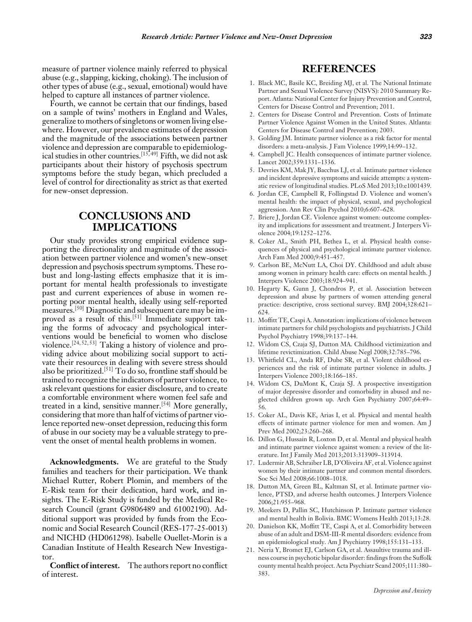measure of partner violence mainly referred to physical abuse (e.g., slapping, kicking, choking). The inclusion of other types of abuse (e.g., sexual, emotional) would have helped to capture all instances of partner violence.

Fourth, we cannot be certain that our findings, based on a sample of twins' mothers in England and Wales, generalize to mothers of singletons or women living elsewhere. However, our prevalence estimates of depression and the magnitude of the associations between partner violence and depression are comparable to epidemiological studies in other countries.<sup>[15,49]</sup> Fifth, we did not ask participants about their history of psychosis spectrum symptoms before the study began, which precluded a level of control for directionality as strict as that exerted for new-onset depression.

# **CONCLUSIONS AND IMPLICATIONS**

Our study provides strong empirical evidence supporting the directionality and magnitude of the association between partner violence and women's new-onset depression and psychosis spectrum symptoms. These robust and long-lasting effects emphasize that it is important for mental health professionals to investigate past and current experiences of abuse in women reporting poor mental health, ideally using self-reported measures.<sup>[50]</sup> Diagnostic and subsequent care may be improved as a result of this.<sup>[51]</sup> Immediate support taking the forms of advocacy and psychological interventions would be beneficial to women who disclose violence.[24, 52, 53] Taking a history of violence and providing advice about mobilizing social support to activate their resources in dealing with severe stress should also be prioritized.<sup>[51]</sup> To do so, frontline staff should be trained to recognize the indicators of partner violence, to ask relevant questions for easier disclosure, and to create a comfortable environment where women feel safe and treated in a kind, sensitive manner.<sup>[54]</sup> More generally, considering that more than half of victims of partner violence reported new-onset depression, reducing this form of abuse in our society may be a valuable strategy to prevent the onset of mental health problems in women.

**Acknowledgments.** We are grateful to the Study families and teachers for their participation. We thank Michael Rutter, Robert Plomin, and members of the E-Risk team for their dedication, hard work, and insights. The E-Risk Study is funded by the Medical Research Council (grant G9806489 and 61002190). Additional support was provided by funds from the Economic and Social Research Council (RES-177-25-0013) and NICHD (HD061298). Isabelle Ouellet-Morin is a Canadian Institute of Health Research New Investigator.

**Conflict of interest.** The authors report no conflict of interest.

# **REFERENCES**

- 1. Black MC, Basile KC, Breiding MJ, et al. The National Intimate Partner and Sexual Violence Survey (NISVS): 2010 Summary Report. Atlanta: National Center for Injury Prevention and Control, Centers for Disease Control and Prevention; 2011.
- 2. Centers for Disease Control and Prevention. Costs of Intimate Partner Violence Against Women in the United States. Altlanta: Centers for Disease Control and Prevention; 2003.
- 3. Golding JM. Intimate partner violence as a risk factor for mental disorders: a meta-analysis. J Fam Violence 1999;14:99–132.
- 4. Campbell JC. Health consequences of intimate partner violence. Lancet 2002;359:1331–1336.
- 5. Devries KM, Mak JY, Bacchus LJ, et al. Intimate partner violence and incident depressive symptoms and suicide attempts: a systematic review of longitudinal studies. PLoS Med 2013;10:e1001439.
- 6. Jordan CE, Campbell R, Follingstad D. Violence and women's mental health: the impact of physical, sexual, and psychological aggression. Ann Rev Clin Psychol 2010;6:607–628.
- 7. Briere J, Jordan CE. Violence against women: outcome complexity and implications for assessment and treatment. J Interpers Violence 2004;19:1252–1276.
- 8. Coker AL, Smith PH, Bethea L, et al. Physical health consequences of physical and psychological intimate partner violence. Arch Fam Med 2000;9:451–457.
- 9. Carlson BE, McNutt LA, Choi DY. Childhood and adult abuse among women in primary health care: effects on mental health. J Interpers Violence 2003;18:924–941.
- 10. Hegarty K, Gunn J, Chondros P, et al. Association between depression and abuse by partners of women attending general practice: descriptive, cross sectional survey. BMJ 2004;328:621– 624.
- 11. Moffitt TE, Caspi A. Annotation: implications of violence between intimate partners for child psychologists and psychiatrists. J Child Psychol Psychiatry 1998;39:137–144.
- 12. Widom CS, Czaja SJ, Dutton MA. Childhood victimization and lifetime revictimization. Child Abuse Negl 2008;32:785–796.
- 13. Whitfield CL, Anda RF, Dube SR, et al. Violent childhood experiences and the risk of intimate partner violence in adults. J Interpers Violence 2003;18:166–185.
- 14. Widom CS, DuMont K, Czaja SJ. A prospective investigation of major depressive disorder and comorbidity in abused and neglected children grown up. Arch Gen Psychiatry 2007;64:49– 56.
- 15. Coker AL, Davis KE, Arias I, et al. Physical and mental health effects of intimate partner violence for men and women. Am J Prev Med 2002;23:260–268.
- 16. Dillon G, Hussain R, Loxton D, et al. Mental and physical health and intimate partner violence against women: a review of the literature. Int J Family Med 2013;2013:313909–313914.
- 17. Ludermir AB, Schraiber LB, D'Oliveira AF, et al. Violence against women by their intimate partner and common mental disorders. Soc Sci Med 2008;66:1008–1018.
- 18. Dutton MA, Green BL, Kaltman SI, et al. Intimate partner violence, PTSD, and adverse health outcomes. J Interpers Violence 2006;21:955–968.
- 19. Meekers D, Pallin SC, Hutchinson P. Intimate partner violence and mental health in Bolivia. BMC Womens Health 2013;13:28.
- 20. Danielson KK, Moffitt TE, Caspi A, et al. Comorbidity between abuse of an adult and DSM-III-R mental disorders: evidence from an epidemiological study. Am J Psychiatry 1998;155:131–133.
- 21. Neria Y, Bromet EJ, Carlson GA, et al. Assaultive trauma and illness course in psychotic bipolar disorder: findings from the Suffolk county mental health project. Acta Psychiatr Scand 2005;111:380– 383.